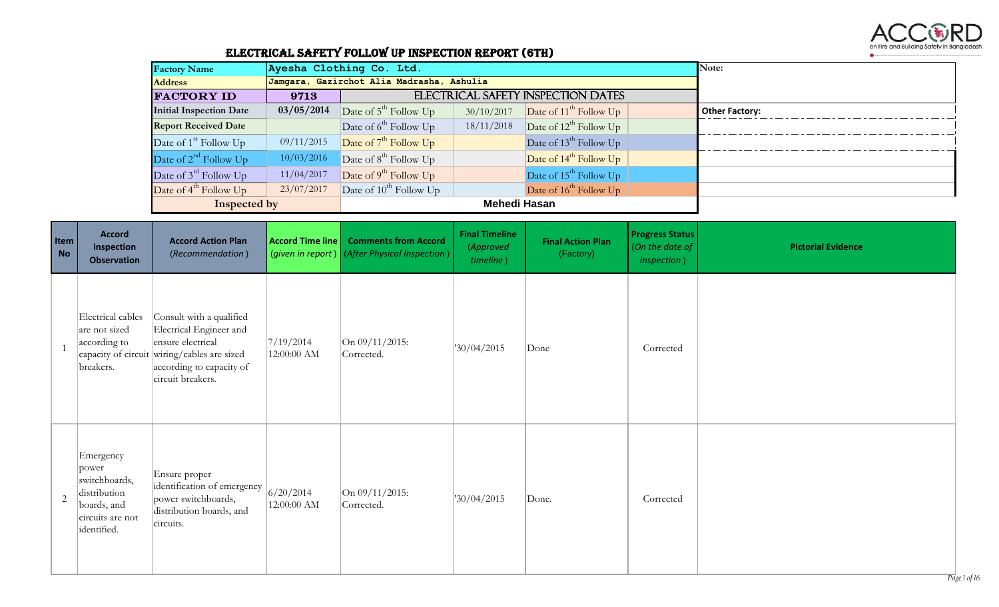

## ELECTRICAL SAFETY FOLLOW UP INSPECTION REPORT (6th)

| <b>Factory Name</b>            |            | Ayesha Clothing Co. Ltd.                  |                     |                                    |  | Note:                 |
|--------------------------------|------------|-------------------------------------------|---------------------|------------------------------------|--|-----------------------|
| <b>Address</b>                 |            | Jamgara, Gazirchot Alia Madrasha, Ashulia |                     |                                    |  |                       |
| <b>FACTORY ID</b>              | 9713       |                                           |                     | ELECTRICAL SAFETY INSPECTION DATES |  |                       |
| <b>Initial Inspection Date</b> | 03/05/2014 | Date of $5^{\text{th}}$ Follow Up         | 30/10/2017          | Date of $11^{th}$ Follow Up        |  | <b>Other Factory:</b> |
| <b>Report Received Date</b>    |            | Date of $6^{th}$ Follow Up                | 18/11/2018          | Date of $12^{th}$ Follow Up        |  |                       |
| Date of $1st$ Follow Up        | 09/11/2015 | Date of $7^{\text{th}}$ Follow Up         |                     | Date of $13^{th}$ Follow Up        |  |                       |
| Date of $2^{nd}$ Follow Up     | 10/03/2016 | Date of $8^{th}$ Follow Up                |                     | Date of $14^{th}$ Follow Up        |  |                       |
| Date of $3^{rd}$ Follow Up     | 11/04/2017 | Date of $9^{th}$ Follow Up                |                     | Date of $15^{th}$ Follow Up        |  |                       |
| Date of $4^{th}$ Follow Up     | 23/07/2017 | Date of $10^{th}$ Follow Up               |                     | Date of $16^{th}$ Follow Up        |  |                       |
| Inspected by                   |            |                                           | <b>Mehedi Hasan</b> |                                    |  |                       |

| Item<br>No | <b>Accord</b><br>Inspection<br><b>Observation</b>                                                     | <b>Accord Action Plan</b><br>(Recommendation)                                                                                                                            | <b>Accord Time line</b>  | <b>Comments from Accord</b><br>(given in report) $(After Physical Inspection)$ | <b>Final Timeline</b><br>(Approved<br>timeline) | <b>Final Action Plan</b><br>(Factory) | <b>Progress Status</b><br>(On the date of<br>inspection) | <b>Pictorial Evidence</b> |
|------------|-------------------------------------------------------------------------------------------------------|--------------------------------------------------------------------------------------------------------------------------------------------------------------------------|--------------------------|--------------------------------------------------------------------------------|-------------------------------------------------|---------------------------------------|----------------------------------------------------------|---------------------------|
|            | Electrical cables<br>are not sized<br>according to<br>breakers.                                       | Consult with a qualified<br>Electrical Engineer and<br>ensure electrical<br>capacity of circuit wiring/cables are sized<br>according to capacity of<br>circuit breakers. | 7/19/2014<br>12:00:00 AM | On $09/11/2015$ :<br>Corrected.                                                | 30/04/2015                                      | Done                                  | Corrected                                                |                           |
| 2          | Emergency<br>power<br>switchboards,<br>distribution<br>boards, and<br>circuits are not<br>identified. | Ensure proper<br>identification of emergency<br>power switchboards,<br>distribution boards, and<br>circuits.                                                             | 6/20/2014<br>12:00:00 AM | On $09/11/2015$ :<br>Corrected.                                                | 30/04/2015                                      | Done.                                 | Corrected                                                |                           |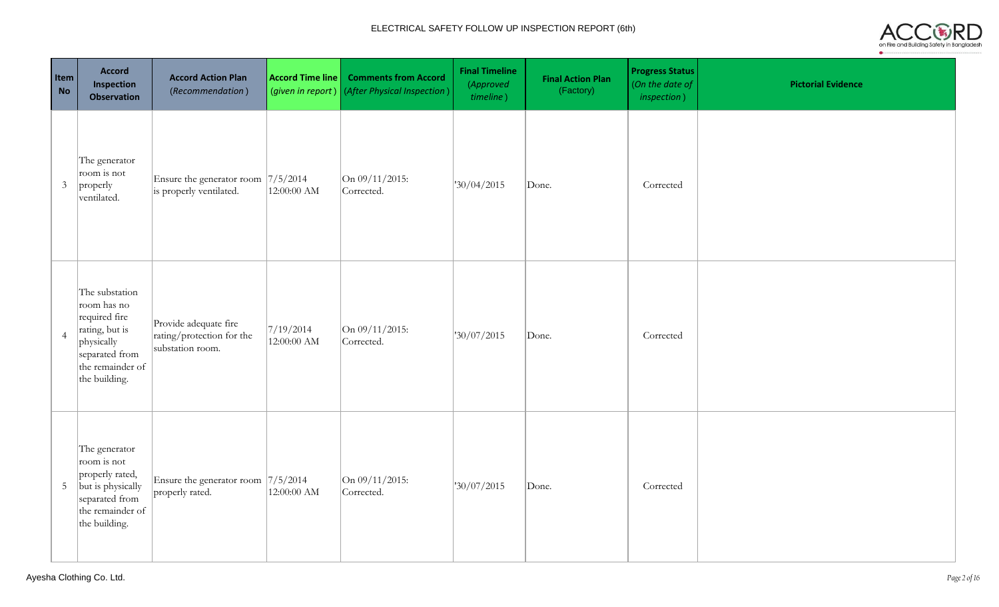

| <b>Item</b><br>No | <b>Accord</b><br>Inspection<br><b>Observation</b>                                                                                     | <b>Accord Action Plan</b><br>(Recommendation)                                | <b>Accord Time line</b><br>(given in report) | <b>Comments from Accord</b><br>(After Physical Inspection) | <b>Final Timeline</b><br>(Approved<br>timeline) | <b>Final Action Plan</b><br>(Factory) | <b>Progress Status</b><br>(On the date of<br>inspection) | <b>Pictorial Evidence</b> |
|-------------------|---------------------------------------------------------------------------------------------------------------------------------------|------------------------------------------------------------------------------|----------------------------------------------|------------------------------------------------------------|-------------------------------------------------|---------------------------------------|----------------------------------------------------------|---------------------------|
| $\mathfrak{Z}$    | The generator<br>room is not<br>properly<br>ventilated.                                                                               | Ensure the generator room $\left 7/5/2014\right $<br>is properly ventilated. | 12:00:00 AM                                  | On $09/11/2015$ :<br>Corrected.                            | '30/04/2015                                     | Done.                                 | Corrected                                                |                           |
| $\overline{4}$    | The substation<br>room has no<br>required fire<br>rating, but is<br>physically<br>separated from<br>the remainder of<br>the building. | Provide adequate fire<br>rating/protection for the<br>substation room.       | 7/19/2014<br>12:00:00 AM                     | On $09/11/2015$ :<br>Corrected.                            | '30/07/2015                                     | Done.                                 | Corrected                                                |                           |
| $5\overline{)}$   | The generator<br>room is not<br>properly rated,<br>but is physically<br>separated from<br>the remainder of<br>the building.           | Ensure the generator room  7/5/2014<br>properly rated.                       | 12:00:00 AM                                  | On $09/11/2015$ :<br>Corrected.                            | '30/07/2015                                     | Done.                                 | Corrected                                                |                           |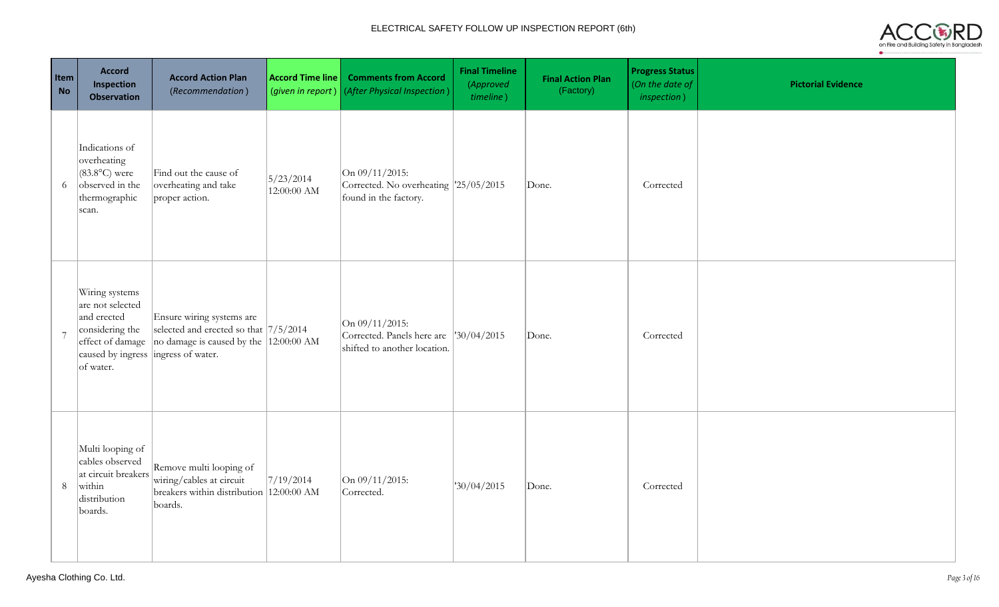

| Item<br><b>No</b> | <b>Accord</b><br>Inspection<br><b>Observation</b>                                                                          | <b>Accord Action Plan</b><br>(Recommendation)                                                                                                                | <b>Accord Time line</b><br>(given in report) | <b>Comments from Accord</b><br>(After Physical Inspection)                                | <b>Final Timeline</b><br>(Approved<br>timeline) | <b>Final Action Plan</b><br>(Factory) | <b>Progress Status</b><br>(On the date of<br><i>inspection</i> ) | <b>Pictorial Evidence</b> |
|-------------------|----------------------------------------------------------------------------------------------------------------------------|--------------------------------------------------------------------------------------------------------------------------------------------------------------|----------------------------------------------|-------------------------------------------------------------------------------------------|-------------------------------------------------|---------------------------------------|------------------------------------------------------------------|---------------------------|
| 6                 | Indications of<br>overheating<br>$(83.8^{\circ}C)$ were<br>observed in the<br>thermographic<br>scan.                       | Find out the cause of<br>overheating and take<br>proper action.                                                                                              | 5/23/2014<br>12:00:00 AM                     | On $09/11/2015$ :<br>Corrected. No overheating 25/05/2015<br>found in the factory.        |                                                 | Done.                                 | Corrected                                                        |                           |
| $\overline{7}$    | Wiring systems<br>are not selected<br>and erected<br>considering the<br>effect of damage<br>caused by ingress<br>of water. | Ensure wiring systems are<br>selected and erected so that $\left 7/5/2014\right $<br>no damage is caused by the $ 12:00:00 \text{ AM} $<br>ingress of water. |                                              | On 09/11/2015:<br>Corrected. Panels here are  '30/04/2015<br>shifted to another location. |                                                 | Done.                                 | Corrected                                                        |                           |
| 8                 | Multi looping of<br>cables observed<br>at circuit breakers<br>within<br>distribution<br>boards.                            | Remove multi looping of<br>wiring/cables at circuit<br>breakers within distribution 12:00:00 AM<br>boards.                                                   | 7/19/2014                                    | On $09/11/2015$ :<br>Corrected.                                                           | 130/04/2015                                     | Done.                                 | Corrected                                                        |                           |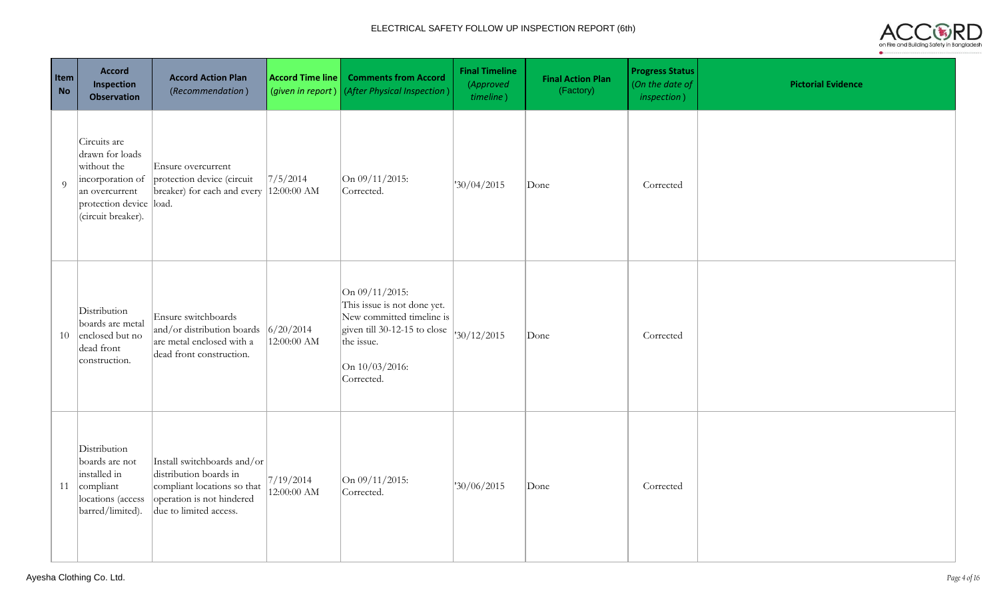

| Item<br><b>No</b> | <b>Accord</b><br>Inspection<br><b>Observation</b>                                                                                     | <b>Accord Action Plan</b><br>(Recommendation)                                                                                               | <b>Accord Time line</b><br>(given in report) | <b>Comments from Accord</b><br>(After Physical Inspection)                                                                                               | <b>Final Timeline</b><br>(Approved<br>timeline) | <b>Final Action Plan</b><br>(Factory) | <b>Progress Status</b><br>(On the date of<br><i>inspection</i> ) | <b>Pictorial Evidence</b> |
|-------------------|---------------------------------------------------------------------------------------------------------------------------------------|---------------------------------------------------------------------------------------------------------------------------------------------|----------------------------------------------|----------------------------------------------------------------------------------------------------------------------------------------------------------|-------------------------------------------------|---------------------------------------|------------------------------------------------------------------|---------------------------|
| 9                 | Circuits are<br>drawn for loads<br>without the<br>incorporation of<br>an overcurrent<br>protection device load.<br>(circuit breaker). | Ensure overcurrent<br>protection device (circuit<br>breaker) for each and every 12:00:00 AM                                                 | 7/5/2014                                     | On $09/11/2015$ :<br>Corrected.                                                                                                                          | '30/04/2015                                     | Done                                  | Corrected                                                        |                           |
| 10                | Distribution<br>boards are metal<br>enclosed but no<br>dead front<br>construction.                                                    | Ensure switchboards<br>and/or distribution boards<br>are metal enclosed with a<br>dead front construction.                                  | 6/20/2014<br>12:00:00 AM                     | On 09/11/2015:<br>This issue is not done yet.<br>New committed timeline is<br>given till 30-12-15 to close<br>the issue.<br>On 10/03/2016:<br>Corrected. | 130/12/2015                                     | Done                                  | Corrected                                                        |                           |
| 11                | Distribution<br>boards are not<br>installed in<br>compliant<br>locations (access<br>barred/limited).                                  | Install switchboards and/or<br>distribution boards in<br>compliant locations so that<br>operation is not hindered<br>due to limited access. | 7/19/2014<br>12:00:00 AM                     | On $09/11/2015$ :<br>Corrected.                                                                                                                          | '30/06/2015                                     | Done                                  | Corrected                                                        |                           |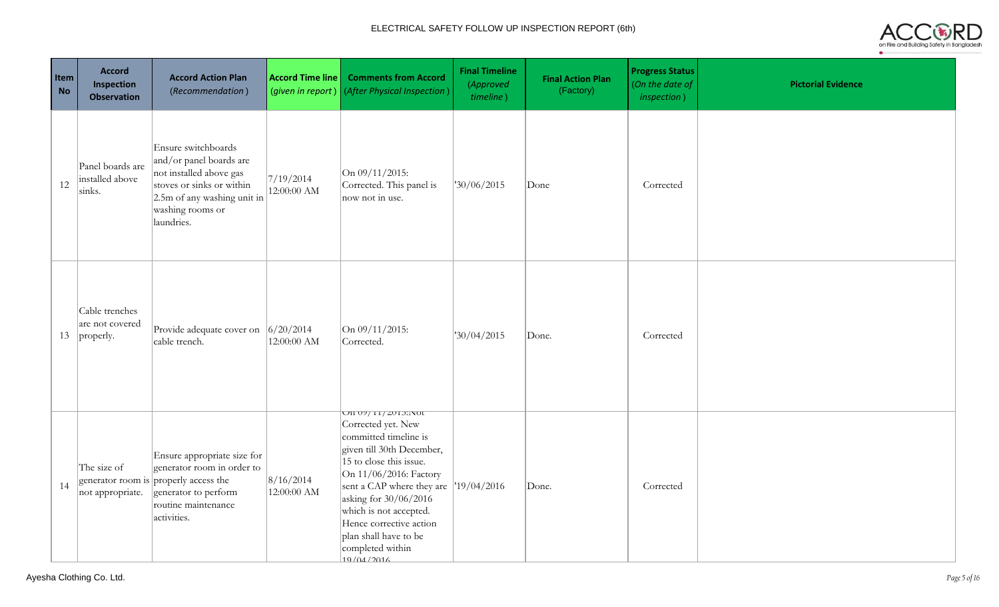

| Item<br><b>No</b> | <b>Accord</b><br>Inspection<br><b>Observation</b> | <b>Accord Action Plan</b><br>(Recommendation)                                                                                                                           | <b>Accord Time line</b><br>(given in report) | <b>Comments from Accord</b><br>(After Physical Inspection)                                                                                                                                                                                                                                                                               | <b>Final Timeline</b><br>(Approved<br>timeline) | <b>Final Action Plan</b><br>(Factory) | <b>Progress Status</b><br>(On the date of<br>inspection) | <b>Pictorial Evidence</b> |
|-------------------|---------------------------------------------------|-------------------------------------------------------------------------------------------------------------------------------------------------------------------------|----------------------------------------------|------------------------------------------------------------------------------------------------------------------------------------------------------------------------------------------------------------------------------------------------------------------------------------------------------------------------------------------|-------------------------------------------------|---------------------------------------|----------------------------------------------------------|---------------------------|
| 12                | Panel boards are<br>installed above<br>sinks.     | Ensure switchboards<br>and/or panel boards are<br>not installed above gas<br>stoves or sinks or within<br>2.5m of any washing unit in<br>washing rooms or<br>laundries. | 7/19/2014<br>12:00:00 AM                     | On 09/11/2015:<br>Corrected. This panel is<br>now not in use.                                                                                                                                                                                                                                                                            | 30/06/2015                                      | Done                                  | Corrected                                                |                           |
| 13                | Cable trenches<br>are not covered<br>properly.    | Provide adequate cover on $6/20/2014$<br>cable trench.                                                                                                                  | 12:00:00 AM                                  | On $09/11/2015$ :<br>Corrected.                                                                                                                                                                                                                                                                                                          | 30/04/2015                                      | Done.                                 | Corrected                                                |                           |
| 14                | The size of<br>not appropriate.                   | Ensure appropriate size for<br>generator room in order to<br>generator room is properly access the<br>generator to perform<br>routine maintenance<br>activities.        | 8/16/2014<br>12:00:00 AM                     | Un 07/11/2013:100L<br>Corrected yet. New<br>committed timeline is<br>given till 30th December,<br>15 to close this issue.<br>On 11/06/2016: Factory<br>sent a CAP where they are $ '19/04/2016$<br>asking for 30/06/2016<br>which is not accepted.<br>Hence corrective action<br>plan shall have to be<br>completed within<br>10/04/2016 |                                                 | Done.                                 | Corrected                                                |                           |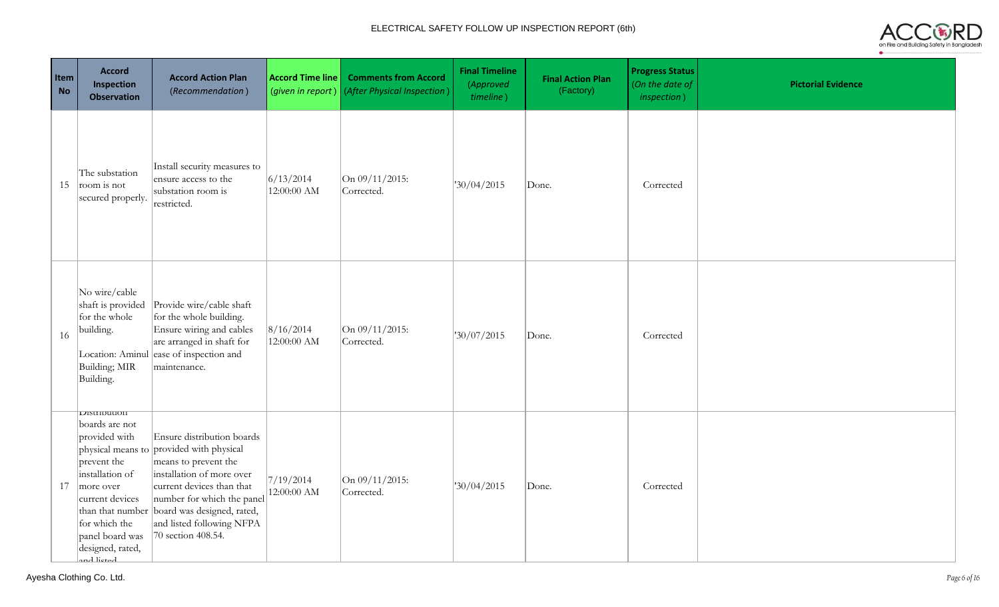

| Item<br><b>No</b> | <b>Accord</b><br>Inspection<br><b>Observation</b>                                                                                                                                                                   | <b>Accord Action Plan</b><br>(Recommendation)                                                                                                                                                                                                                          | <b>Accord Time line</b><br>(given in report) | <b>Comments from Accord</b><br>(After Physical Inspection) | <b>Final Timeline</b><br>(Approved<br>timeline) | <b>Final Action Plan</b><br>(Factory) | <b>Progress Status</b><br>(On the date of<br><i>inspection</i> ) | <b>Pictorial Evidence</b> |
|-------------------|---------------------------------------------------------------------------------------------------------------------------------------------------------------------------------------------------------------------|------------------------------------------------------------------------------------------------------------------------------------------------------------------------------------------------------------------------------------------------------------------------|----------------------------------------------|------------------------------------------------------------|-------------------------------------------------|---------------------------------------|------------------------------------------------------------------|---------------------------|
| 15                | The substation<br>room is not<br>secured properly.                                                                                                                                                                  | Install security measures to<br>ensure access to the<br>substation room is<br>restricted.                                                                                                                                                                              | 6/13/2014<br>12:00:00 AM                     | On 09/11/2015:<br>Corrected.                               | '30/04/2015                                     | Done.                                 | Corrected                                                        |                           |
| 16                | No wire/cable<br>shaft is provided<br>for the whole<br>building.<br>Building; MIR<br>Building.                                                                                                                      | Provide wire/cable shaft<br>for the whole building.<br>Ensure wiring and cables<br>are arranged in shaft for<br>Location: Aminul ease of inspection and<br>maintenance.                                                                                                | 8/16/2014<br>12:00:00 AM                     | On 09/11/2015:<br>Corrected.                               | '30/07/2015                                     | Done.                                 | Corrected                                                        |                           |
| 17                | <b>DISTIDUITOII</b><br>boards are not<br>provided with<br>physical means to<br>prevent the<br>installation of<br>more over<br>current devices<br>for which the<br>panel board was<br>designed, rated,<br>and listad | Ensure distribution boards<br>provided with physical<br>means to prevent the<br>installation of more over<br>current devices than that<br>number for which the panel<br>than that number board was designed, rated,<br>and listed following NFPA<br>70 section 408.54. | 7/19/2014<br>12:00:00 AM                     | On $09/11/2015$ :<br>Corrected.                            | '30/04/2015                                     | Done.                                 | Corrected                                                        |                           |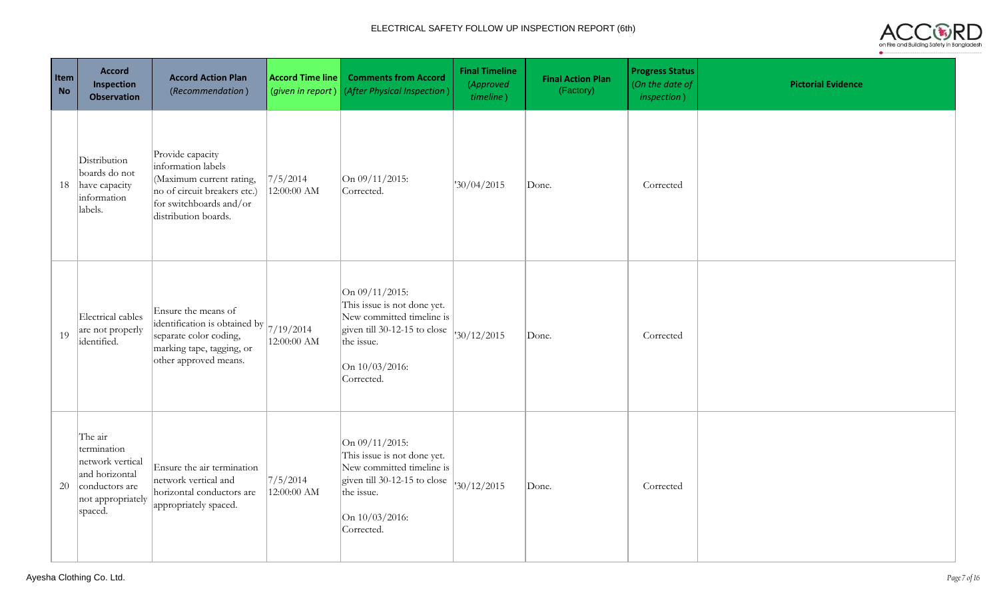

| Item<br><b>No</b> | <b>Accord</b><br>Inspection<br><b>Observation</b>                                                              | <b>Accord Action Plan</b><br>(Recommendation)                                                                                                                 | <b>Accord Time line</b><br>(given in report) | <b>Comments from Accord</b><br>(After Physical Inspection)                                                                                                     | <b>Final Timeline</b><br>(Approved<br>timeline) | <b>Final Action Plan</b><br>(Factory) | <b>Progress Status</b><br>(On the date of<br><i>inspection</i> ) | <b>Pictorial Evidence</b> |
|-------------------|----------------------------------------------------------------------------------------------------------------|---------------------------------------------------------------------------------------------------------------------------------------------------------------|----------------------------------------------|----------------------------------------------------------------------------------------------------------------------------------------------------------------|-------------------------------------------------|---------------------------------------|------------------------------------------------------------------|---------------------------|
| 18                | Distribution<br>boards do not<br>have capacity<br>information<br>labels.                                       | Provide capacity<br>information labels<br>(Maximum current rating,<br>no of circuit breakers etc.)<br>for switchboards and/or<br>distribution boards.         | 7/5/2014<br>12:00:00 AM                      | On $09/11/2015$ :<br>Corrected.                                                                                                                                | 30/04/2015                                      | Done.                                 | Corrected                                                        |                           |
| 19                | Electrical cables<br>are not properly<br>identified.                                                           | Ensure the means of<br>identification is obtained by $\left 7/19/2014\right $<br>separate color coding,<br>marking tape, tagging, or<br>other approved means. | 12:00:00 AM                                  | On 09/11/2015:<br>This issue is not done yet.<br>New committed timeline is<br>given till 30-12-15 to close<br>the issue.<br>On $10/03/2016$ :<br>Corrected.    | 30/12/2015                                      | Done.                                 | Corrected                                                        |                           |
| 20                | The air<br>termination<br>network vertical<br>and horizontal<br>conductors are<br>not appropriately<br>spaced. | Ensure the air termination<br>network vertical and<br>horizontal conductors are<br>appropriately spaced.                                                      | 7/5/2014<br>12:00:00 AM                      | On $09/11/2015$ :<br>This issue is not done yet.<br>New committed timeline is<br>given till 30-12-15 to close<br>the issue.<br>On $10/03/2016$ :<br>Corrected. | 30/12/2015                                      | Done.                                 | Corrected                                                        |                           |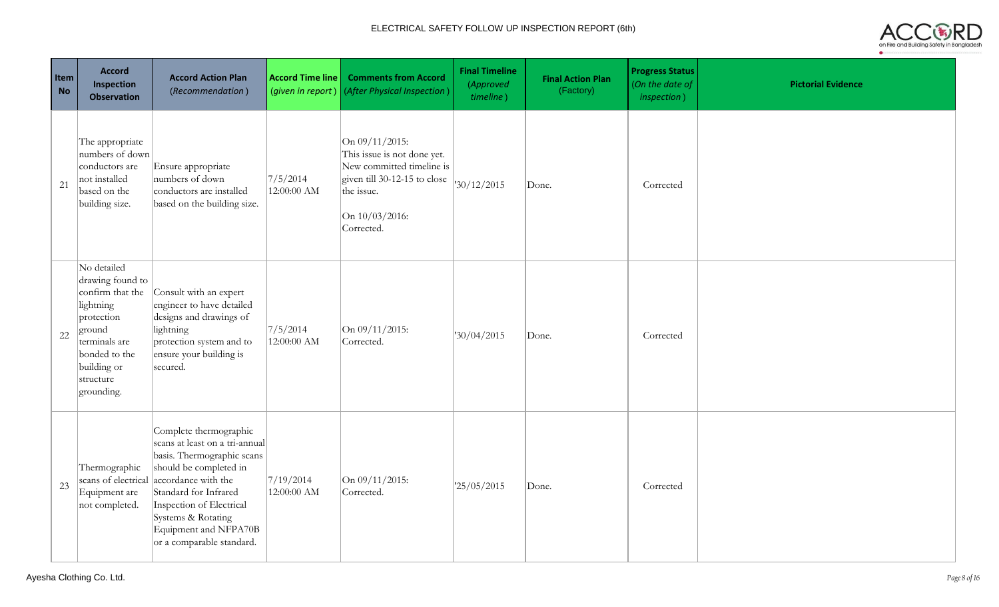

| Item<br><b>No</b> | <b>Accord</b><br>Inspection<br><b>Observation</b>                                                                                                                    | <b>Accord Action Plan</b><br>(Recommendation)                                                                                                                                                                                                                                                | <b>Accord Time line</b><br>(given in report)   | <b>Comments from Accord</b><br>(After Physical Inspection)                                                                                                     | <b>Final Timeline</b><br>(Approved<br>timeline) | <b>Final Action Plan</b><br>(Factory) | <b>Progress Status</b><br>(On the date of<br>inspection) | <b>Pictorial Evidence</b> |
|-------------------|----------------------------------------------------------------------------------------------------------------------------------------------------------------------|----------------------------------------------------------------------------------------------------------------------------------------------------------------------------------------------------------------------------------------------------------------------------------------------|------------------------------------------------|----------------------------------------------------------------------------------------------------------------------------------------------------------------|-------------------------------------------------|---------------------------------------|----------------------------------------------------------|---------------------------|
| 21                | The appropriate<br>numbers of down<br>conductors are<br>not installed<br>based on the<br>building size.                                                              | Ensure appropriate<br>numbers of down<br>conductors are installed<br>based on the building size.                                                                                                                                                                                             | 7/5/2014<br>12:00:00 AM                        | On $09/11/2015$ :<br>This issue is not done yet.<br>New committed timeline is<br>given till 30-12-15 to close<br>the issue.<br>On $10/03/2016$ :<br>Corrected. | 30/12/2015                                      | Done.                                 | Corrected                                                |                           |
| 22                | No detailed<br>drawing found to<br>confirm that the<br>lightning<br>protection<br>ground<br>terminals are<br>bonded to the<br>building or<br>structure<br>grounding. | Consult with an expert<br>engineer to have detailed<br>designs and drawings of<br>lightning<br>protection system and to<br>ensure your building is<br>secured.                                                                                                                               | 7/5/2014<br>12:00:00 AM                        | On $09/11/2015$ :<br>Corrected.                                                                                                                                | 130/04/2015                                     | Done.                                 | Corrected                                                |                           |
| 23                | Thermographic<br>Equipment are<br>not completed.                                                                                                                     | Complete thermographic<br>scans at least on a tri-annual<br>basis. Thermographic scans<br>should be completed in<br>scans of electrical accordance with the<br>Standard for Infrared<br>Inspection of Electrical<br>Systems & Rotating<br>Equipment and NFPA70B<br>or a comparable standard. | 7/19/2014<br>$12\mathord{:}00\mathord{:}00$ AM | On $09/11/2015$ :<br>Corrected.                                                                                                                                | '25/05/2015                                     | Done.                                 | Corrected                                                |                           |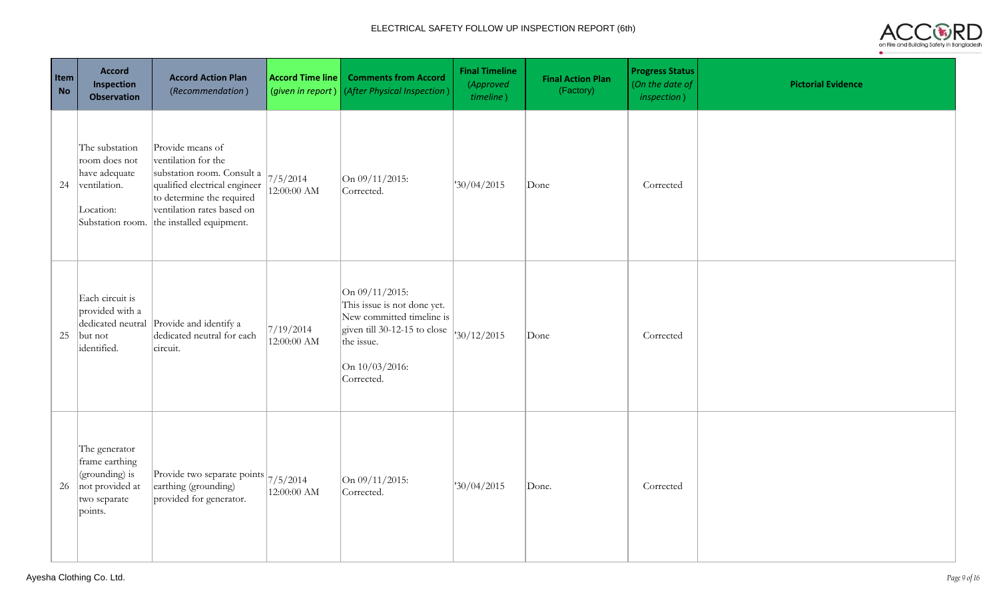

| Item<br>No | <b>Accord</b><br>Inspection<br><b>Observation</b>                                                 | <b>Accord Action Plan</b><br>(Recommendation)                                                                                                                                                 | <b>Accord Time line</b><br>(given in report) | <b>Comments from Accord</b><br>(After Physical Inspection)                                                                                               | <b>Final Timeline</b><br>(Approved<br>timeline) | <b>Final Action Plan</b><br>(Factory) | <b>Progress Status</b><br>(On the date of<br><i>inspection</i> ) | <b>Pictorial Evidence</b> |
|------------|---------------------------------------------------------------------------------------------------|-----------------------------------------------------------------------------------------------------------------------------------------------------------------------------------------------|----------------------------------------------|----------------------------------------------------------------------------------------------------------------------------------------------------------|-------------------------------------------------|---------------------------------------|------------------------------------------------------------------|---------------------------|
| 24         | The substation<br>room does not<br>have adequate<br>ventilation.<br>Location:<br>Substation room. | Provide means of<br>ventilation for the<br>substation room. Consult a<br>qualified electrical engineer<br>to determine the required<br>ventilation rates based on<br>the installed equipment. | 7/5/2014<br>12:00:00 AM                      | On $09/11/2015$ :<br>Corrected.                                                                                                                          | '30/04/2015                                     | Done                                  | Corrected                                                        |                           |
| 25         | Each circuit is<br>provided with a<br>dedicated neutral<br>but not<br>identified.                 | Provide and identify a<br>dedicated neutral for each<br>circuit.                                                                                                                              | 7/19/2014<br>12:00:00 AM                     | On 09/11/2015:<br>This issue is not done yet.<br>New committed timeline is<br>given till 30-12-15 to close<br>the issue.<br>On 10/03/2016:<br>Corrected. | '30/12/2015                                     | Done                                  | Corrected                                                        |                           |
| 26         | The generator<br>frame earthing<br>(grounding) is<br>not provided at<br>two separate<br>points.   | Provide two separate points 7/5/2014<br>earthing (grounding)<br>provided for generator.                                                                                                       | 12:00:00 AM                                  | On $09/11/2015$ :<br>Corrected.                                                                                                                          | '30/04/2015                                     | Done.                                 | Corrected                                                        |                           |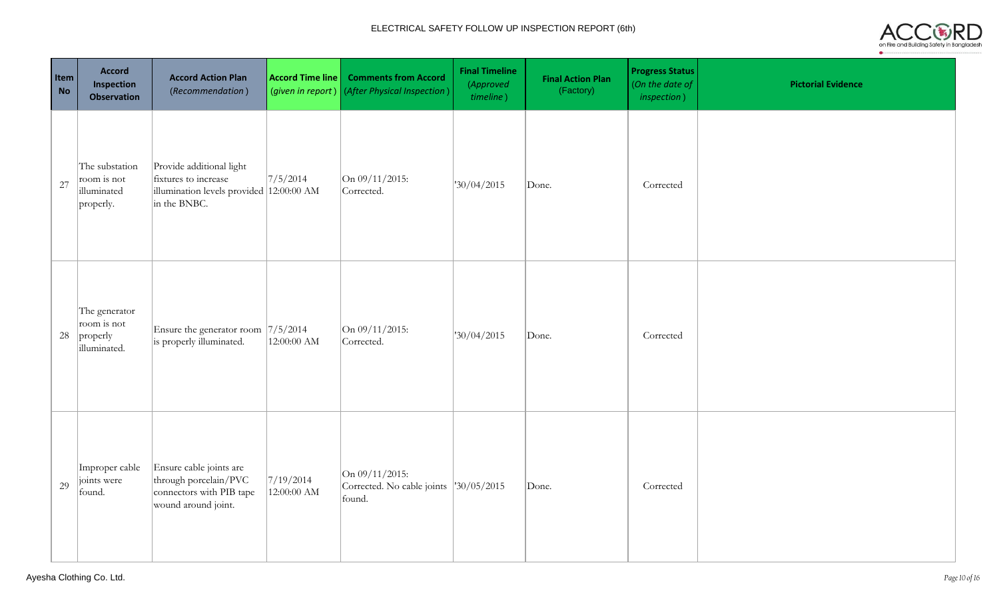

| Item<br><b>No</b> | <b>Accord</b><br>Inspection<br><b>Observation</b>         | <b>Accord Action Plan</b><br>(Recommendation)                                                                | <b>Accord Time line</b><br>(given in report) | <b>Comments from Accord</b><br>(After Physical Inspection)             | <b>Final Timeline</b><br>(Approved<br>timeline) | <b>Final Action Plan</b><br>(Factory) | <b>Progress Status</b><br>(On the date of<br><i>inspection</i> ) | <b>Pictorial Evidence</b> |
|-------------------|-----------------------------------------------------------|--------------------------------------------------------------------------------------------------------------|----------------------------------------------|------------------------------------------------------------------------|-------------------------------------------------|---------------------------------------|------------------------------------------------------------------|---------------------------|
| 27                | The substation<br>room is not<br>illuminated<br>properly. | Provide additional light<br>fixtures to increase<br>illumination levels provided 12:00:00 AM<br>in the BNBC. | 7/5/2014                                     | On 09/11/2015:<br>Corrected.                                           | 30/04/2015                                      | Done.                                 | Corrected                                                        |                           |
| $28\,$            | The generator<br>room is not<br>properly<br>illuminated.  | Ensure the generator room $\left 7/5/2014\right $<br>is properly illuminated.                                | 12:00:00 AM                                  | On $09/11/2015$ :<br>Corrected.                                        | '30/04/2015                                     | Done.                                 | Corrected                                                        |                           |
| 29                | Improper cable<br>joints were<br>found.                   | Ensure cable joints are<br>through porcelain/PVC<br>connectors with PIB tape<br>wound around joint.          | 7/19/2014<br>12:00:00 AM                     | On $09/11/2015$ :<br>Corrected. No cable joints  '30/05/2015<br>found. |                                                 | Done.                                 | Corrected                                                        |                           |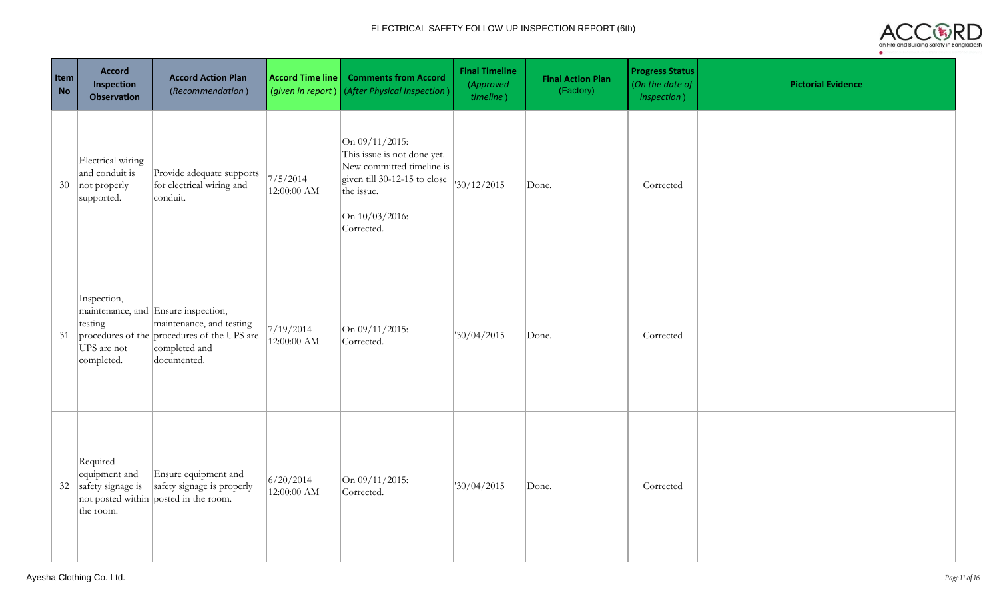

| Item<br>$N$ o | <b>Accord</b><br>Inspection<br><b>Observation</b>                 | <b>Accord Action Plan</b><br>(Recommendation)                                                                                                  | <b>Accord Time line</b>  | <b>Comments from Accord</b><br>(given in report) $(After Physical Inspection)$                                                                           | <b>Final Timeline</b><br>(Approved<br>timeline) | <b>Final Action Plan</b><br>(Factory) | <b>Progress Status</b><br>(On the date of<br>inspection) | <b>Pictorial Evidence</b> |
|---------------|-------------------------------------------------------------------|------------------------------------------------------------------------------------------------------------------------------------------------|--------------------------|----------------------------------------------------------------------------------------------------------------------------------------------------------|-------------------------------------------------|---------------------------------------|----------------------------------------------------------|---------------------------|
| 30            | Electrical wiring<br>and conduit is<br>not properly<br>supported. | Provide adequate supports<br>for electrical wiring and<br>conduit.                                                                             | 7/5/2014<br>12:00:00 AM  | On 09/11/2015:<br>This issue is not done yet.<br>New committed timeline is<br>given till 30-12-15 to close<br>the issue.<br>On 10/03/2016:<br>Corrected. | '30/12/2015                                     | Done.                                 | Corrected                                                |                           |
| 31            | Inspection,<br>testing<br>UPS are not<br>completed.               | maintenance, and Ensure inspection,<br>maintenance, and testing<br>procedures of the procedures of the UPS are<br>completed and<br>documented. | 7/19/2014<br>12:00:00 AM | On $09/11/2015$ :<br>Corrected.                                                                                                                          | '30/04/2015                                     | Done.                                 | Corrected                                                |                           |
| 32            | Required<br>equipment and<br>safety signage is<br>the room.       | Ensure equipment and<br>safety signage is properly<br>not posted within posted in the room.                                                    | 6/20/2014<br>12:00:00 AM | On $09/11/2015$ :<br>Corrected.                                                                                                                          | '30/04/2015                                     | Done.                                 | Corrected                                                |                           |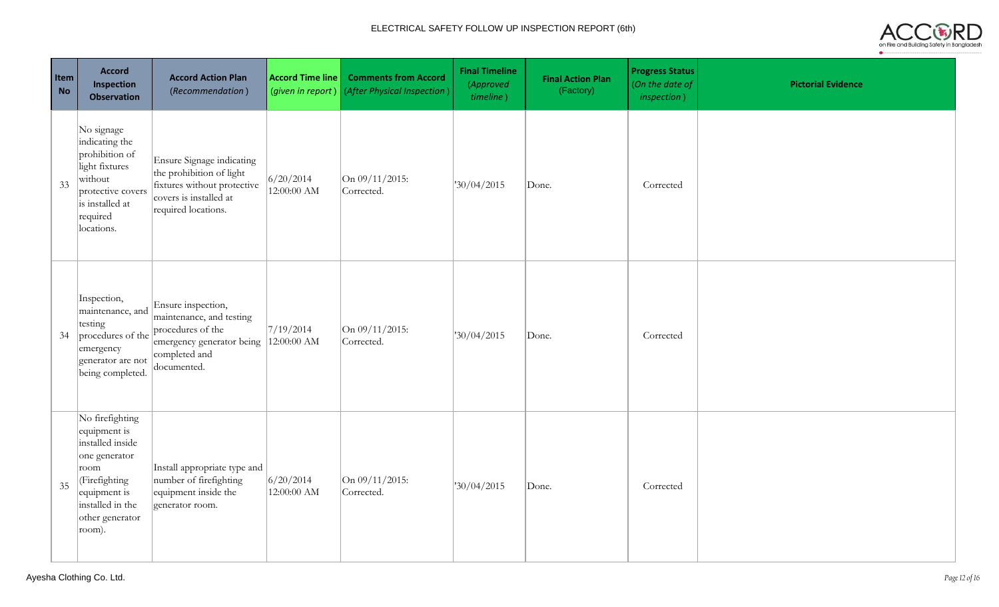

| Item<br><b>No</b> | <b>Accord</b><br>Inspection<br><b>Observation</b>                                                                                                              | <b>Accord Action Plan</b><br>(Recommendation)                                                                                         | <b>Accord Time line</b><br>(given in report) | <b>Comments from Accord</b><br>(After Physical Inspection) | <b>Final Timeline</b><br>(Approved<br>timeline) | <b>Final Action Plan</b><br>(Factory) | <b>Progress Status</b><br>(On the date of<br><i>inspection</i> ) | <b>Pictorial Evidence</b> |
|-------------------|----------------------------------------------------------------------------------------------------------------------------------------------------------------|---------------------------------------------------------------------------------------------------------------------------------------|----------------------------------------------|------------------------------------------------------------|-------------------------------------------------|---------------------------------------|------------------------------------------------------------------|---------------------------|
| 33                | No signage<br>indicating the<br>prohibition of<br>light fixtures<br>without<br>protective covers<br>is installed at<br>required<br>locations.                  | Ensure Signage indicating<br>the prohibition of light<br>fixtures without protective<br>covers is installed at<br>required locations. | 6/20/2014<br>12:00:00 AM                     | On $09/11/2015$ :<br>Corrected.                            | 130/04/2015                                     | Done.                                 | Corrected                                                        |                           |
| 34                | Inspection,<br>maintenance, and<br>testing<br>procedures of the<br>emergency<br>generator are not<br>being completed.                                          | Ensure inspection,<br>maintenance, and testing<br>procedures of the<br>emergency generator being<br>completed and<br>documented.      | 7/19/2014<br>12:00:00 AM                     | On $09/11/2015$ :<br>Corrected.                            | '30/04/2015                                     | Done.                                 | Corrected                                                        |                           |
| 35                | No firefighting<br>equipment is<br>installed inside<br>one generator<br>room<br>(Firefighting<br>equipment is<br>installed in the<br>other generator<br>room). | Install appropriate type and<br>number of firefighting<br>equipment inside the<br>generator room.                                     | 6/20/2014<br>12:00:00 AM                     | On $09/11/2015$ :<br>Corrected.                            | '30/04/2015                                     | Done.                                 | Corrected                                                        |                           |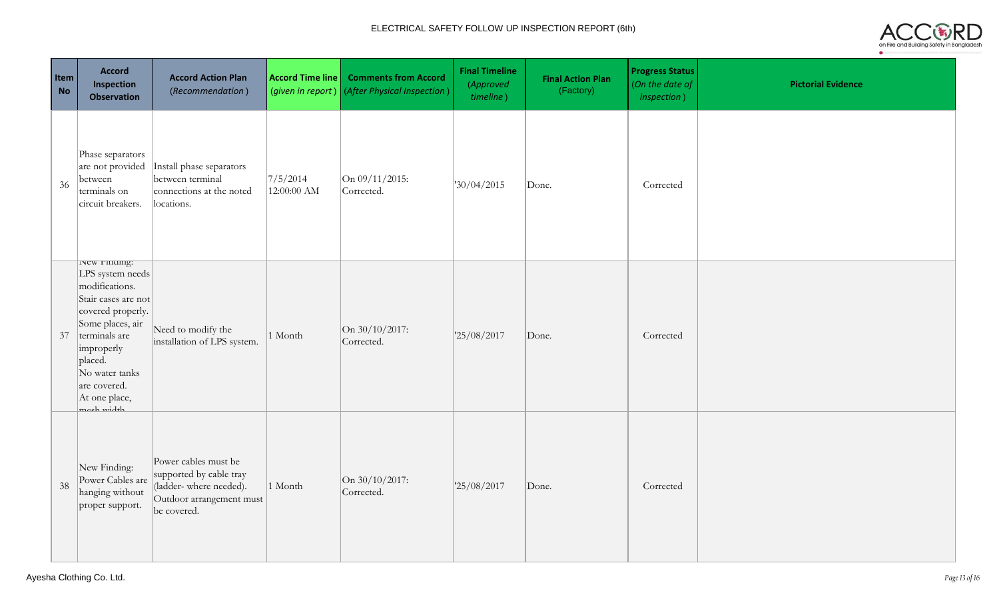

| Item<br><b>No</b> | <b>Accord</b><br>Inspection<br><b>Observation</b>                                                                                                                                                                                                 | <b>Accord Action Plan</b><br>(Recommendation)                                                                        | <b>Accord Time line</b><br>(given in report) | <b>Comments from Accord</b><br>(After Physical Inspection) | <b>Final Timeline</b><br>(Approved<br>timeline) | <b>Final Action Plan</b><br>(Factory) | <b>Progress Status</b><br>(On the date of<br>inspection) | <b>Pictorial Evidence</b> |
|-------------------|---------------------------------------------------------------------------------------------------------------------------------------------------------------------------------------------------------------------------------------------------|----------------------------------------------------------------------------------------------------------------------|----------------------------------------------|------------------------------------------------------------|-------------------------------------------------|---------------------------------------|----------------------------------------------------------|---------------------------|
| 36                | Phase separators<br>are not provided<br>between<br>terminals on<br>circuit breakers.                                                                                                                                                              | Install phase separators<br>between terminal<br>connections at the noted<br>locations.                               | 7/5/2014<br>12:00:00 AM                      | On $09/11/2015$ :<br>Corrected.                            | 30/04/2015                                      | Done.                                 | Corrected                                                |                           |
| 37                | <b>IVEW FINALLY:</b><br>LPS system needs<br>modifications.<br>Stair cases are not<br>covered properly.<br>Some places, air<br>terminals are<br>improperly<br>placed.<br>No water tanks<br>are covered.<br>At one place,<br>ngoh <del>mid</del> th | Need to modify the<br>installation of LPS system.                                                                    | 1 Month                                      | On $30/10/2017$ :<br>Corrected.                            | '25/08/2017                                     | Done.                                 | Corrected                                                |                           |
| 38                | New Finding:<br>Power Cables are<br>hanging without<br>proper support.                                                                                                                                                                            | Power cables must be<br>supported by cable tray<br>(ladder-where needed).<br>Outdoor arrangement must<br>be covered. | 1 Month                                      | On $30/10/2017$ :<br>Corrected.                            | '25/08/2017                                     | Done.                                 | Corrected                                                |                           |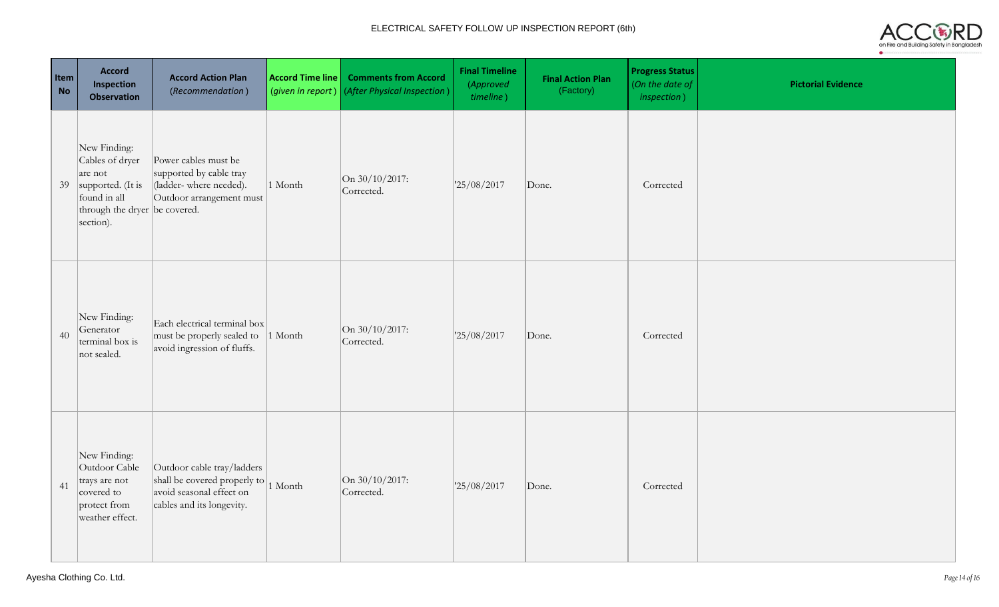

| <b>Item</b><br>$N$ o | <b>Accord</b><br>Inspection<br><b>Observation</b>                                                                             | <b>Accord Action Plan</b><br>(Recommendation)                                                                                       | <b>Accord Time line</b><br>(given in report) | <b>Comments from Accord</b><br>(After Physical Inspection) | <b>Final Timeline</b><br>(Approved<br>timeline) | <b>Final Action Plan</b><br>(Factory) | <b>Progress Status</b><br>(On the date of<br><i>inspection</i> ) | <b>Pictorial Evidence</b> |
|----------------------|-------------------------------------------------------------------------------------------------------------------------------|-------------------------------------------------------------------------------------------------------------------------------------|----------------------------------------------|------------------------------------------------------------|-------------------------------------------------|---------------------------------------|------------------------------------------------------------------|---------------------------|
| 39                   | New Finding:<br>Cables of dryer<br>are not<br>supported. (It is<br>found in all<br>through the dryer be covered.<br>section). | Power cables must be<br>supported by cable tray<br>(ladder-where needed).<br>Outdoor arrangement must                               | 1 Month                                      | On 30/10/2017:<br>Corrected.                               | '25/08/2017                                     | Done.                                 | Corrected                                                        |                           |
| 40                   | New Finding:<br>Generator<br>terminal box is<br>not sealed.                                                                   | Each electrical terminal box<br>must be properly sealed to<br>avoid ingression of fluffs.                                           | 1 Month                                      | On $30/10/2017$ :<br>Corrected.                            | '25/08/2017                                     | Done.                                 | Corrected                                                        |                           |
| 41                   | New Finding:<br>Outdoor Cable<br>trays are not<br>covered to<br>protect from<br>weather effect.                               | Outdoor cable tray/ladders<br>shall be covered properly to $\vert$ 1 Month<br>avoid seasonal effect on<br>cables and its longevity. |                                              | On 30/10/2017:<br>Corrected.                               | '25/08/2017                                     | Done.                                 | Corrected                                                        |                           |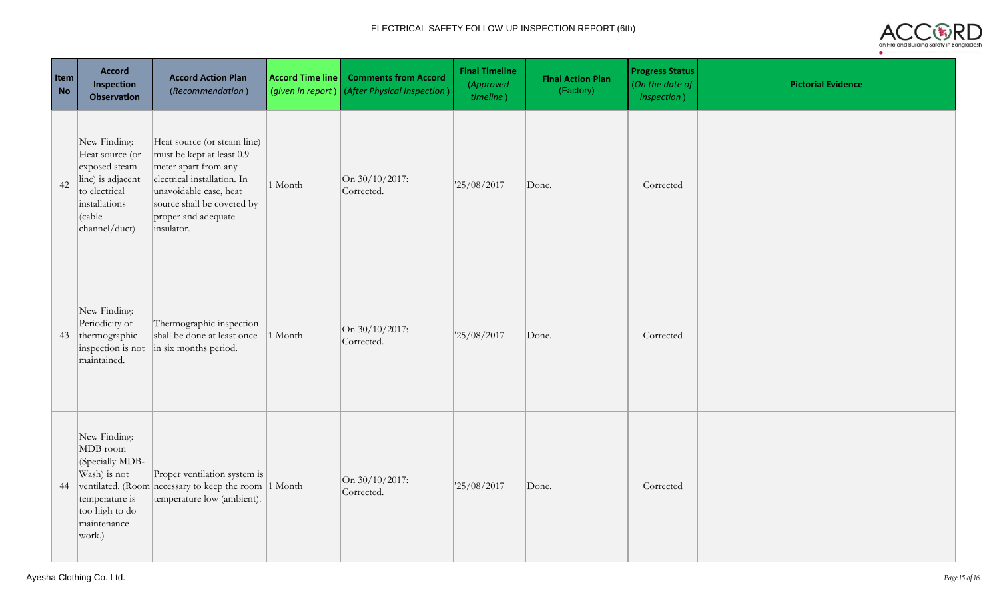

| Item<br><b>No</b> | <b>Accord</b><br>Inspection<br><b>Observation</b>                                                                                  | <b>Accord Action Plan</b><br>(Recommendation)                                                                                                                                                                | <b>Accord Time line</b><br>(given in report) | <b>Comments from Accord</b><br>(After Physical Inspection) | <b>Final Timeline</b><br>(Approved<br>timeline) | <b>Final Action Plan</b><br>(Factory) | <b>Progress Status</b><br>(On the date of<br><i>inspection</i> ) | <b>Pictorial Evidence</b> |
|-------------------|------------------------------------------------------------------------------------------------------------------------------------|--------------------------------------------------------------------------------------------------------------------------------------------------------------------------------------------------------------|----------------------------------------------|------------------------------------------------------------|-------------------------------------------------|---------------------------------------|------------------------------------------------------------------|---------------------------|
| 42                | New Finding:<br>Heat source (or<br>exposed steam<br>line) is adjacent<br>to electrical<br>installations<br>(cable<br>channel/duct) | Heat source (or steam line)<br>must be kept at least 0.9<br>meter apart from any<br>electrical installation. In<br>unavoidable case, heat<br>source shall be covered by<br>proper and adequate<br>insulator. | 1 Month                                      | On 30/10/2017:<br>Corrected.                               | '25/08/2017                                     | Done.                                 | Corrected                                                        |                           |
| 43                | New Finding:<br>Periodicity of<br>thermographic<br>inspection is not<br>maintained.                                                | Thermographic inspection<br>shall be done at least once<br>in six months period.                                                                                                                             | $\vert$ 1 Month                              | On $30/10/2017$ :<br>Corrected.                            | '25/08/2017                                     | Done.                                 | Corrected                                                        |                           |
| 44                | New Finding:<br>MDB room<br>(Specially MDB-<br>Wash) is not<br>temperature is<br>too high to do<br>maintenance<br>work.)           | Proper ventilation system is<br>ventilated. (Room necessary to keep the room 1 Month<br>temperature low (ambient).                                                                                           |                                              | On $30/10/2017$ :<br>Corrected.                            | '25/08/2017                                     | Done.                                 | Corrected                                                        |                           |